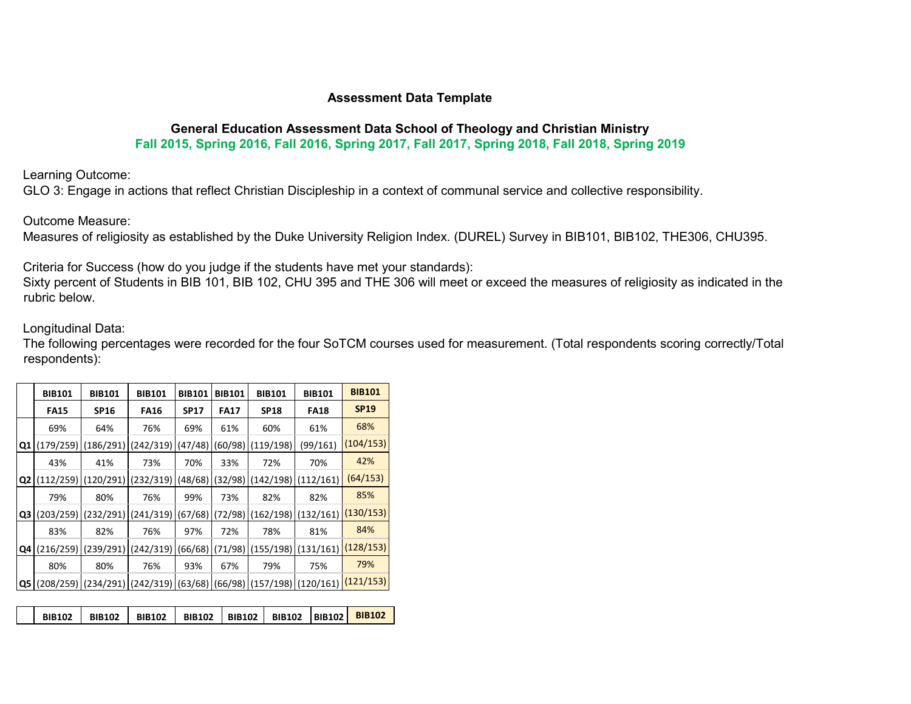#### **Assessment Data Template**

#### **General Education Assessment Data School of Theology and Christian Ministry Fall 2015, Spring 2016, Fall 2016, Spring 2017, Fall 2017, Spring 2018, Fall 2018, Spring 2019**

Learning Outcome:

GLO 3: Engage in actions that reflect Christian Discipleship in a context of communal service and collective responsibility.

Outcome Measure:

Measures of religiosity as established by the Duke University Religion Index. (DUREL) Survey in BIB101, BIB102, THE306, CHU395.

Criteria for Success (how do you judge if the students have met your standards):

Sixty percent of Students in BIB 101, BIB 102, CHU 395 and THE 306 will meet or exceed the measures of religiosity as indicated in the rubric below.

#### Longitudinal Data:

The following percentages were recorded for the four SoTCM courses used for measurement. (Total respondents scoring correctly/Total respondents):

|                | <b>BIB101</b> | <b>BIB101</b> | <b>BIB101</b> | <b>BIB101</b> | <b>BIB101</b> | <b>BIB101</b>         | <b>BIB101</b> | <b>BIB101</b> |
|----------------|---------------|---------------|---------------|---------------|---------------|-----------------------|---------------|---------------|
|                | <b>FA15</b>   | <b>SP16</b>   | <b>FA16</b>   | <b>SP17</b>   | <b>FA17</b>   | <b>SP18</b>           | <b>FA18</b>   | <b>SP19</b>   |
|                | 69%           | 64%           | 76%           | 69%           | 61%           | 60%                   | 61%           | 68%           |
| Q1             | (179/259)     | (186/291)     | (242/319)     | (47/48)       | (60/98)       | (119/198)             | (99/161)      | (104/153)     |
|                | 43%           | 41%           | 73%           | 70%           | 33%           | 72%                   | 70%           | 42%           |
| Q <sub>2</sub> | (112/259)     | (120/291)     | (232/319)     | (48/68)       | (32/98)       | (142/198)             | (112/161)     | (64/153)      |
|                | 79%           | 80%           | 76%           | 99%           | 73%           | 82%                   | 82%           | 85%           |
| Q3             | (203/259)     | (232/291)     | (241/319)     | (67/68)       | 72/98)        | (162/198)             | (132/161)     | (130/153)     |
|                | 83%           | 82%           | 76%           | 97%           | 72%           | 78%                   | 81%           | 84%           |
| Q4             | (216/259)     | (239/291)     | (242/319)     | (66/68)       | (71/98)       | (155/198)             | (131/161)     | (128/153)     |
|                | 80%           | 80%           | 76%           | 93%           | 67%           | 79%                   | 75%           | 79%           |
| IQ5            | 208/259)      | (234/291)     | (242/319)     | (63/68)       | 66/98         | $(157/198)$ (120/161) |               | (121/153)     |

| ↑   BIB102   BIB102   BIB102  BIB102 <mark>  BIB102  </mark> |  | <b>BIB102</b> | <b>BIB102</b> | ົ   BIB102 ⊤ |  |  |  |  |  |  |
|--------------------------------------------------------------|--|---------------|---------------|--------------|--|--|--|--|--|--|
|--------------------------------------------------------------|--|---------------|---------------|--------------|--|--|--|--|--|--|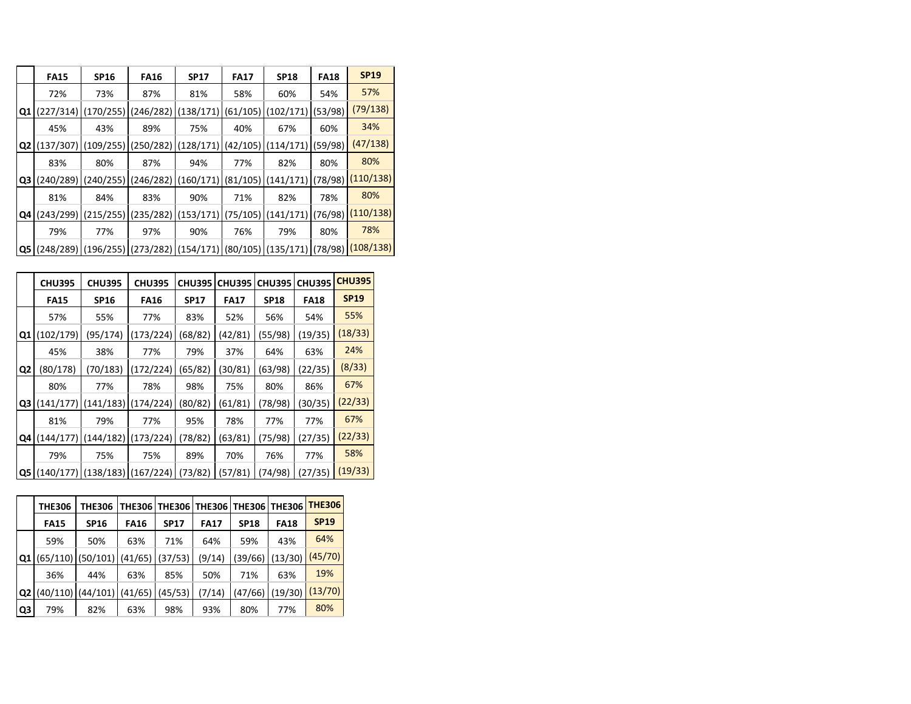|                | <b>FA15</b> | <b>SP16</b> | <b>FA16</b>                                                                                                                                                                                                                                            | <b>SP17</b> | <b>FA17</b> | <b>SP18</b> | <b>FA18</b> | <b>SP19</b> |
|----------------|-------------|-------------|--------------------------------------------------------------------------------------------------------------------------------------------------------------------------------------------------------------------------------------------------------|-------------|-------------|-------------|-------------|-------------|
|                | 72%         | 73%         | 87%                                                                                                                                                                                                                                                    | 81%         | 58%         | 60%         | 54%         | 57%         |
| Q <sub>1</sub> | (227/314)   | (170/255)   | (246/282)                                                                                                                                                                                                                                              | (138/171)   | (61/105)    | (102/171)   | (53/98)     | (79/138)    |
|                | 45%         | 43%         | 89%                                                                                                                                                                                                                                                    | 75%         | 40%         | 67%         | 60%         | 34%         |
| Q <sub>2</sub> | (137/307)   | (109/255)   | (250/282)                                                                                                                                                                                                                                              | (128/171)   | (42/105)    | (114/171)   | (59/98)     | (47/138)    |
|                | 83%         | 80%         | 87%                                                                                                                                                                                                                                                    | 94%         | 77%         | 82%         | 80%         | 80%         |
| Q3             | (240/289)   | (240/255)   | (246/282)                                                                                                                                                                                                                                              | (160/171)   | (81/105)    | (141/171)   | (78/98)     | (110/138)   |
|                | 81%         | 84%         | 83%                                                                                                                                                                                                                                                    | 90%         | 71%         | 82%         | 78%         | 80%         |
| Q4             | (243/299)   | (215/255)   | (235/282)                                                                                                                                                                                                                                              | (153/171)   | (75/105)    | (141/171)   | (76/98)     | (110/138)   |
|                | 79%         | 77%         | 97%                                                                                                                                                                                                                                                    | 90%         | 76%         | 79%         | 80%         | 78%         |
|                |             |             | $\vert \textbf{Q5} \vert \left( \frac{248}{289} \right) \vert \left( \frac{196}{255} \right) \vert \left( \frac{273}{282} \right) \vert \left( \frac{154}{171} \right) \vert \left( \frac{80}{105} \right) \vert \left( \frac{135}{171} \right) \vert$ |             |             |             | (78/98)     | (108/138)   |

|                | <b>CHU395</b> | <b>CHU395</b> | <b>CHU395</b> | <b>CHU395</b> | <b>CHU395</b> | <b>CHU395</b> | <b>CHU395</b> | <b>CHU395</b> |
|----------------|---------------|---------------|---------------|---------------|---------------|---------------|---------------|---------------|
|                | <b>FA15</b>   | <b>SP16</b>   | <b>FA16</b>   | <b>SP17</b>   | <b>FA17</b>   | <b>SP18</b>   | <b>FA18</b>   | <b>SP19</b>   |
|                | 57%           | 55%           | 77%           | 83%           | 52%           | 56%           | 54%           | 55%           |
| Q1             | (102/179)     | (95/174)      | (173/224)     | (68/82)       | (42/81)       | (55/98)       | (19/35)       | (18/33)       |
|                | 45%           | 38%           | 77%           | 79%           | 37%           | 64%           | 63%           | 24%           |
| Q <sub>2</sub> | (80/178)      | (70/183)      | (172/224)     | (65/82)       | (30/81)       | (63/98)       | (22/35)       | (8/33)        |
|                | 80%           | 77%           | 78%           | 98%           | 75%           | 80%           | 86%           | 67%           |
| Q3             | (141/177)     | (141/183)     | (174/224)     | (80/82)       | (61/81)       | (78/98)       | (30/35)       | (22/33)       |
|                | 81%           | 79%           | 77%           | 95%           | 78%           | 77%           | 77%           | 67%           |
| Q4             | (144/177)     | (144/182      | (173/224)     | (78/82)       | (63/81)       | (75/98)       | (27/35)       | (22/33)       |
|                | 79%           | 75%           | 75%           | 89%           | 70%           | 76%           | 77%           | 58%           |
|                | Q5 (140/177   | (138/183)     | (167/224)     | (73/82)       | (57/81)       | 74/98)        | (27/35)       | (19/33)       |

|                | <b>THE306</b> | <b>THE306</b>                   | <b>THE3061</b> | <b>THE306</b> |             | THE306   THE306 | <b>THE306</b> | <b>THE306</b> |
|----------------|---------------|---------------------------------|----------------|---------------|-------------|-----------------|---------------|---------------|
|                | <b>FA15</b>   | <b>SP16</b>                     | <b>FA16</b>    | <b>SP17</b>   | <b>FA17</b> | <b>SP18</b>     | <b>FA18</b>   | <b>SP19</b>   |
|                | 59%           | 50%                             | 63%            | 71%           | 64%         | 59%             | 43%           | 64%           |
| Q <sub>1</sub> |               | $(65/110)$ (50/101) (41/65)     |                | (37/53)       | (9/14)      | (39/66)         | (13/30)       | (45/70)       |
|                | 36%           | 44%                             | 63%            | 85%           | 50%         | 71%             | 63%           | 19%           |
| Q2             |               | $(40/110)$ $(44/101)$ $(41/65)$ |                | (45/53)       | (7/14)      | (47/66)         | (19/30)       | (13/70)       |
| Q3             | 79%           | 82%                             | 63%            | 98%           | 93%         | 80%             | 77%           | 80%           |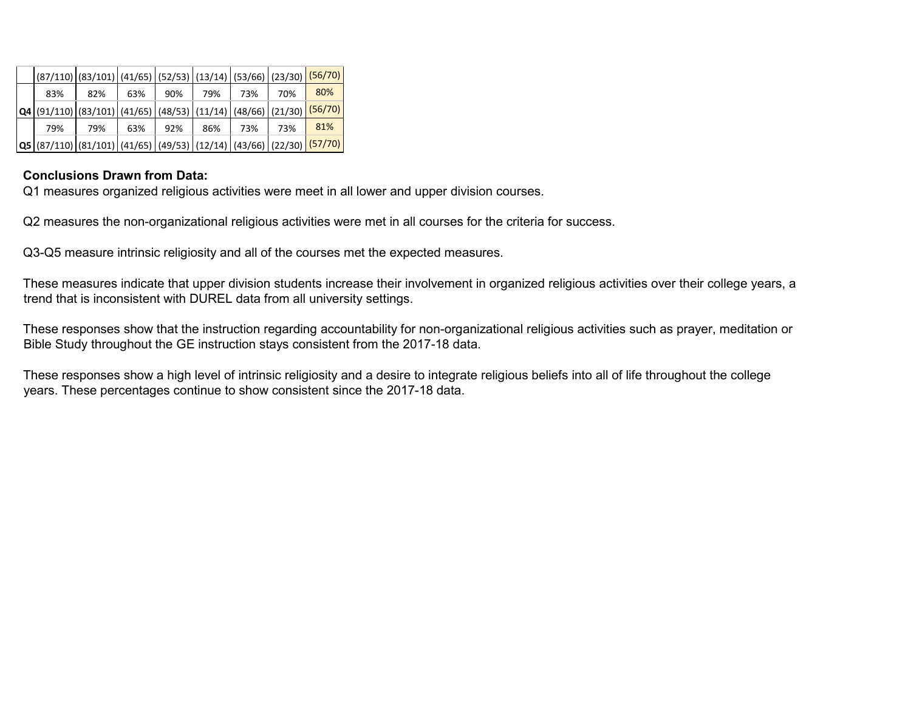|     | (87/110)   (83/101)   (41/65)   (52/53)   (13/14)   (53/66)   (23/30) <mark>  (56/70)  </mark>             |     |     |     |     |     |         |
|-----|------------------------------------------------------------------------------------------------------------|-----|-----|-----|-----|-----|---------|
| 83% | 82%                                                                                                        | 63% | 90% | 79% | 73% | 70% | 80%     |
|     | $Q4   (91/110)   (83/101)   (41/65)   (48/53)   (11/14)   (48/66)   (21/30)$                               |     |     |     |     |     | (56/70) |
| 79% | 79%                                                                                                        | 63% | 92% | 86% | 73% | 73% | 81%     |
|     | <b>Q5</b>   (87/110)   (81/101)   (41/65)   (49/53)   (12/14)   (43/66)   (22/30) <mark>  (57/70)  </mark> |     |     |     |     |     |         |

# **Conclusions Drawn from Data:**

Q1 measures organized religious activities were meet in all lower and upper division courses.

Q2 measures the non-organizational religious activities were met in all courses for the criteria for success.

Q3-Q5 measure intrinsic religiosity and all of the courses met the expected measures.

These measures indicate that upper division students increase their involvement in organized religious activities over their college years, a trend that is inconsistent with DUREL data from all university settings.

These responses show that the instruction regarding accountability for non-organizational religious activities such as prayer, meditation or Bible Study throughout the GE instruction stays consistent from the 2017-18 data.

These responses show a high level of intrinsic religiosity and a desire to integrate religious beliefs into all of life throughout the college years. These percentages continue to show consistent since the 2017-18 data.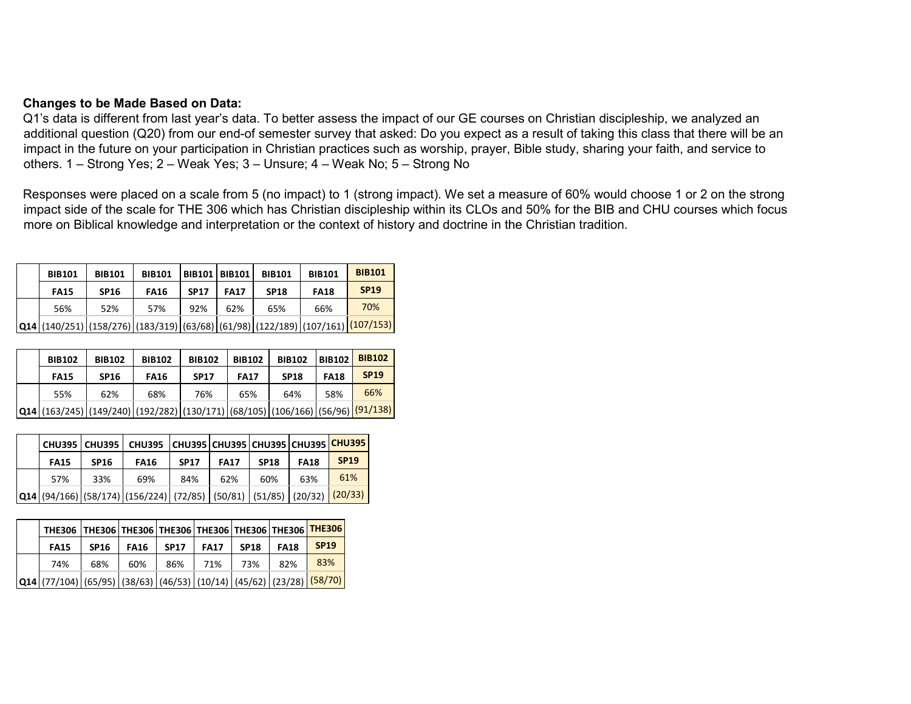#### **Changes to be Made Based on Data:**

Q1's data is different from last year's data. To better assess the impact of our GE courses on Christian discipleship, we analyzed an additional question (Q20) from our end-of semester survey that asked: Do you expect as a result of taking this class that there will be an impact in the future on your participation in Christian practices such as worship, prayer, Bible study, sharing your faith, and service to others. 1 – Strong Yes; 2 – Weak Yes; 3 – Unsure; 4 – Weak No; 5 – Strong No

Responses were placed on a scale from 5 (no impact) to 1 (strong impact). We set a measure of 60% would choose 1 or 2 on the strong impact side of the scale for THE 306 which has Christian discipleship within its CLOs and 50% for the BIB and CHU courses which focus more on Biblical knowledge and interpretation or the context of history and doctrine in the Christian tradition.

| <b>BIB101</b> | <b>BIB101</b>                                                                                     | <b>BIB101</b> |             | <b>BIB101   BIB101  </b> | <b>BIB101</b> | <b>BIB101</b> | <b>BIB101</b> |
|---------------|---------------------------------------------------------------------------------------------------|---------------|-------------|--------------------------|---------------|---------------|---------------|
| <b>FA15</b>   | <b>SP16</b>                                                                                       | <b>FA16</b>   | <b>SP17</b> | <b>FA17</b>              | <b>SP18</b>   | <b>FA18</b>   | <b>SP19</b>   |
| 56%           | 52%                                                                                               | 57%           | 92%         | 62%                      | 65%           | 66%           | 70%           |
|               | $Q14   (140/251)   (158/276)   (183/319)   (63/68)   (61/98)   (122/189)   (107/161)   (107/153)$ |               |             |                          |               |               |               |

| <b>BIB102</b>                                                                                               | <b>BIB102</b> | <b>BIB102</b> | <b>BIB102</b> | <b>BIB102</b> | <b>BIB102</b> | <b>BIB102</b> | <b>BIB102</b> |
|-------------------------------------------------------------------------------------------------------------|---------------|---------------|---------------|---------------|---------------|---------------|---------------|
| <b>FA15</b>                                                                                                 | <b>SP16</b>   | <b>FA16</b>   | <b>SP17</b>   | <b>FA17</b>   | <b>SP18</b>   | <b>FA18</b>   | <b>SP19</b>   |
| 55%                                                                                                         | 62%           | 68%           | 76%           | 65%           | 64%           | 58%           | 66%           |
| <b>Q14</b>  (163/245)  (149/240)  (192/282)  (130/171)  (68/105)  (106/166)  (56/96) <mark> (91/138)</mark> |               |               |               |               |               |               |               |

|             |             | CHU395   CHU395   CHU395   CHU395   CHU395   CHU395   CHU395   CHU395                                                                                                                                                                                                                                                  |             |             |             |             |             |
|-------------|-------------|------------------------------------------------------------------------------------------------------------------------------------------------------------------------------------------------------------------------------------------------------------------------------------------------------------------------|-------------|-------------|-------------|-------------|-------------|
| <b>FA15</b> | <b>SP16</b> | <b>FA16</b>                                                                                                                                                                                                                                                                                                            | <b>SP17</b> | <b>FA17</b> | <b>SP18</b> | <b>FA18</b> | <b>SP19</b> |
| 57%         | 33%         | 69%                                                                                                                                                                                                                                                                                                                    | 84%         | 62%         | 60%         | 63%         | 61%         |
|             |             | $\left  \textbf{Q14} \right  \left( \frac{94}{166} \right) \left  \left( \frac{58}{174} \right) \left  \left( \frac{156}{224} \right) \right  \left( \frac{72}{85} \right) \left  \left. \left( \frac{50}{81} \right) \right  \left. \left( \frac{51}{85} \right) \right  \left. \left( \frac{20}{32} \right) \right $ |             |             |             |             | (20/33)     |

| THE306   THE306   THE306   THE306   THE306   THE306   THE306   THE306                                                                        |             |             |             |             |             |             |             |
|----------------------------------------------------------------------------------------------------------------------------------------------|-------------|-------------|-------------|-------------|-------------|-------------|-------------|
| <b>FA15</b>                                                                                                                                  | <b>SP16</b> | <b>FA16</b> | <b>SP17</b> | <b>FA17</b> | <b>SP18</b> | <b>FA18</b> | <b>SP19</b> |
| 74%                                                                                                                                          | 68%         | 60%         | 86%         | 71%         | 73%         | 82%         | 83%         |
| $\vert$ Q14 $\vert$ (77/104) $\vert$ (65/95) $\vert$ (38/63) $\vert$ (46/53) $\vert$ (10/14) $\vert$ (45/62) $\vert$ (23/28) $\vert$ (58/70) |             |             |             |             |             |             |             |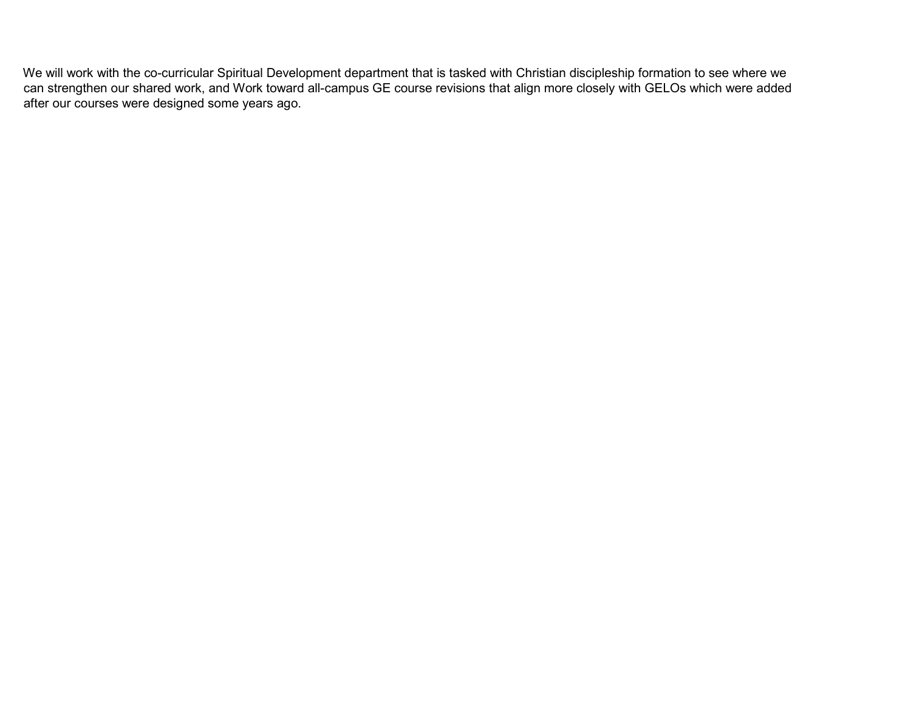We will work with the co-curricular Spiritual Development department that is tasked with Christian discipleship formation to see where we can strengthen our shared work, and Work toward all-campus GE course revisions that align more closely with GELOs which were added after our courses were designed some years ago.